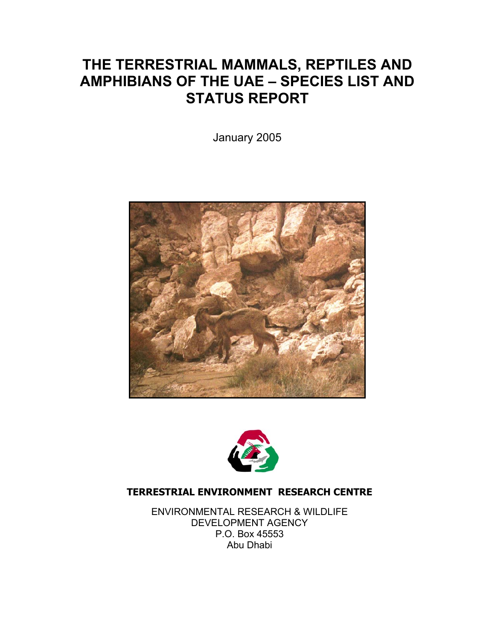# **THE TERRESTRIAL MAMMALS, REPTILES AND AMPHIBIANS OF THE UAE – SPECIES LIST AND STATUS REPORT**

January 2005





## **TERRESTRIAL ENVIRONMENT RESEARCH CENTRE**

ENVIRONMENTAL RESEARCH & WILDLIFE DEVELOPMENT AGENCY P.O. Box 45553 Abu Dhabi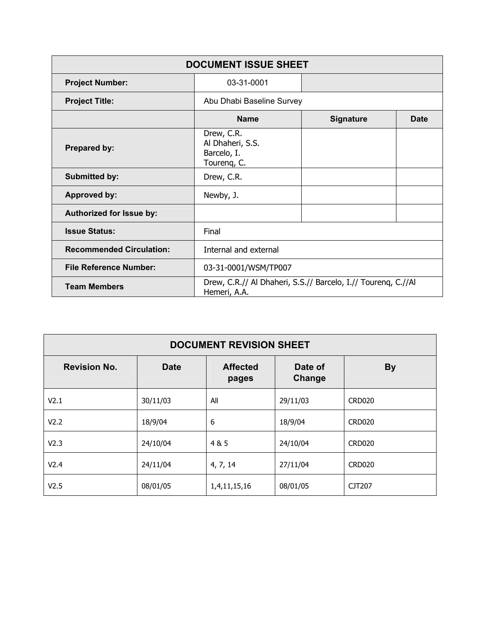| <b>DOCUMENT ISSUE SHEET</b>     |                                                                               |                  |      |
|---------------------------------|-------------------------------------------------------------------------------|------------------|------|
| <b>Project Number:</b>          | 03-31-0001                                                                    |                  |      |
| <b>Project Title:</b>           | Abu Dhabi Baseline Survey                                                     |                  |      |
|                                 | <b>Name</b>                                                                   | <b>Signature</b> | Date |
| Prepared by:                    | Drew, C.R.<br>Al Dhaheri, S.S.<br>Barcelo, I.<br>Toureng, C.                  |                  |      |
| <b>Submitted by:</b>            | Drew, C.R.                                                                    |                  |      |
| <b>Approved by:</b>             | Newby, J.                                                                     |                  |      |
| Authorized for Issue by:        |                                                                               |                  |      |
| <b>Issue Status:</b>            | Final                                                                         |                  |      |
| <b>Recommended Circulation:</b> | Internal and external                                                         |                  |      |
| <b>File Reference Number:</b>   | 03-31-0001/WSM/TP007                                                          |                  |      |
| <b>Team Members</b>             | Drew, C.R.// Al Dhaheri, S.S.// Barcelo, I.// Toureng, C.//Al<br>Hemeri, A.A. |                  |      |

| <b>DOCUMENT REVISION SHEET</b> |             |                          |                   |               |
|--------------------------------|-------------|--------------------------|-------------------|---------------|
| <b>Revision No.</b>            | <b>Date</b> | <b>Affected</b><br>pages | Date of<br>Change | <b>By</b>     |
| V <sub>2.1</sub>               | 30/11/03    | All                      | 29/11/03          | <b>CRD020</b> |
| V <sub>2.2</sub>               | 18/9/04     | 6                        | 18/9/04           | <b>CRD020</b> |
| V <sub>2.3</sub>               | 24/10/04    | 4 & 5                    | 24/10/04          | <b>CRD020</b> |
| V <sub>2.4</sub>               | 24/11/04    | 4, 7, 14                 | 27/11/04          | <b>CRD020</b> |
| V <sub>2.5</sub>               | 08/01/05    | 1,4,11,15,16             | 08/01/05          | CJT207        |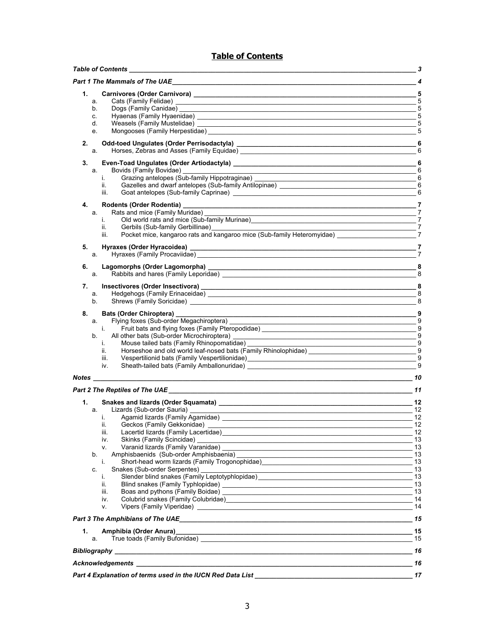## **Table of Contents**

|              | Table of Contents                                                                                                                                                                                                                                         | 3                          |
|--------------|-----------------------------------------------------------------------------------------------------------------------------------------------------------------------------------------------------------------------------------------------------------|----------------------------|
|              | <b>Part 1 The Mammals of The UAE</b><br><u> 1989 - Johann John Stone, markin film yn y brening yn y brening yn y brening yn y brening yn y brening y bre</u>                                                                                              | 4                          |
| 1.           |                                                                                                                                                                                                                                                           | - 5                        |
| a.           | Cats (Family Felidae)                                                                                                                                                                                                                                     | 5                          |
| b.           | Dogs (Family Canidae)                                                                                                                                                                                                                                     | 5                          |
| C.           |                                                                                                                                                                                                                                                           | 5                          |
| d.           |                                                                                                                                                                                                                                                           | 5                          |
| e.           |                                                                                                                                                                                                                                                           | 5                          |
| 2.           |                                                                                                                                                                                                                                                           | 6                          |
| a.           |                                                                                                                                                                                                                                                           | 6                          |
|              |                                                                                                                                                                                                                                                           |                            |
| 3.           |                                                                                                                                                                                                                                                           |                            |
| a.           | Bovids (Family Bovidae)<br>$\overline{\phantom{a}}$ 6                                                                                                                                                                                                     |                            |
|              | j.                                                                                                                                                                                                                                                        | 6                          |
|              | ii.                                                                                                                                                                                                                                                       |                            |
|              | iii.                                                                                                                                                                                                                                                      | 6                          |
| 4.           | Rodents (Order Rodentia)                                                                                                                                                                                                                                  |                            |
|              | Rats and mice (Family Muridae)<br>а.                                                                                                                                                                                                                      | 7                          |
|              | Old world rats and mice (Sub-family Murinae) Material Contract of the Contract of the Contract of the Contract of the Contract of the Contract of the Contract of the Contract of the Contract of the Contract of the Contract<br>i.                      | $\overline{7}$             |
|              | Gerbils (Sub-family Gerbillinae)<br>ii.                                                                                                                                                                                                                   | $\overline{\phantom{a}}$ 7 |
|              | Pocket mice, kangaroo rats and kangaroo mice (Sub-family Heteromyidae) _____________________________<br>iii.                                                                                                                                              | $\overline{7}$             |
|              |                                                                                                                                                                                                                                                           |                            |
| 5.           | Hyraxes (Order Hyracoidea)                                                                                                                                                                                                                                | $\overline{7}$             |
| a.           |                                                                                                                                                                                                                                                           | 7                          |
| 6.           |                                                                                                                                                                                                                                                           | 8                          |
| a.           |                                                                                                                                                                                                                                                           | 8                          |
|              |                                                                                                                                                                                                                                                           |                            |
| 7.           |                                                                                                                                                                                                                                                           |                            |
| а.           |                                                                                                                                                                                                                                                           | 8                          |
| b.           |                                                                                                                                                                                                                                                           | 8                          |
| 8.           | <b>Bats (Order Chiroptera)</b><br><u> 1980 - Johann Barn, mars ann an t-Amhain ann an t-Amhain an t-Amhain an t-Amhain an t-Amhain an t-Amhain an t-</u>                                                                                                  | 9                          |
| a.           | Flying foxes (Sub-order Megachiroptera) _                                                                                                                                                                                                                 | 9                          |
|              | Fruit bats and flying foxes (Family Pteropodidae) Cambridge Control of the Control of the Control of the Control of the Control of the Control of the Control of the Control of the Control of the Control of the Control of t<br>i.                      | َ 9                        |
| b.           |                                                                                                                                                                                                                                                           | 9                          |
|              | Mouse tailed bats (Family Rhinopomatidae)<br>i.                                                                                                                                                                                                           | 9                          |
|              | ii.                                                                                                                                                                                                                                                       | 9                          |
|              | iii.                                                                                                                                                                                                                                                      | 9                          |
|              | iv.                                                                                                                                                                                                                                                       | 9                          |
|              |                                                                                                                                                                                                                                                           |                            |
| <b>Notes</b> |                                                                                                                                                                                                                                                           | 10                         |
|              | Part 2 The Reptiles of The UAE Contract to the UAE Contract of the UAE Contract of the UAE Contract of the UAE                                                                                                                                            | 11                         |
|              |                                                                                                                                                                                                                                                           |                            |
| 1.           |                                                                                                                                                                                                                                                           | 12                         |
|              | Lizards (Sub-order Sauria)<br>а.                                                                                                                                                                                                                          | 12                         |
|              | Agamid lizards (Family Agamidae)<br>i.                                                                                                                                                                                                                    | 12                         |
|              | ii.<br>Geckos (Family Gekkonidae)                                                                                                                                                                                                                         | 12                         |
|              | iii.<br>Skinks (Family Scincidae) Show that the state of the state of the state of the state of the state of the state of the state of the state of the state of the state of the state of the state of the state of the state of the                     | 12                         |
|              | iv.                                                                                                                                                                                                                                                       | 13                         |
| b.           | v.<br>Amphisbaenids (Sub-order Amphisbaenia)                                                                                                                                                                                                              | 13<br>13                   |
|              | Short-head worm lizards (Family Trogonophidae)<br>j.                                                                                                                                                                                                      | 13                         |
| c.           | Snakes (Sub-order Serpentes)<br>$\label{eq:2.1} \frac{1}{2} \left( \frac{1}{2} \left( \frac{1}{2} \right) \left( \frac{1}{2} \right) \right) \left( \frac{1}{2} \left( \frac{1}{2} \right) \right) \left( \frac{1}{2} \left( \frac{1}{2} \right) \right)$ | 13                         |
|              | Slender blind snakes (Family Leptotyphlopidae)<br>Slender blind snakes (Family Leptotyphlopidae)<br>i.                                                                                                                                                    | 13                         |
|              | ii.                                                                                                                                                                                                                                                       | 13                         |
|              | iii.                                                                                                                                                                                                                                                      | 13                         |
|              | Colubrid snakes (Family Colubridae)<br><u>Colubrid snakes</u> (Family Colubridae)<br>iv.                                                                                                                                                                  | 14                         |
|              | v.                                                                                                                                                                                                                                                        | 14                         |
|              |                                                                                                                                                                                                                                                           |                            |
|              |                                                                                                                                                                                                                                                           |                            |
| 1.           |                                                                                                                                                                                                                                                           | 15                         |
| а.           |                                                                                                                                                                                                                                                           | 15                         |
|              |                                                                                                                                                                                                                                                           |                            |
|              |                                                                                                                                                                                                                                                           |                            |
|              |                                                                                                                                                                                                                                                           |                            |
|              | Part 4 Explanation of terms used in the IUCN Red Data List entries and the state of the 17 Million of the 17                                                                                                                                              |                            |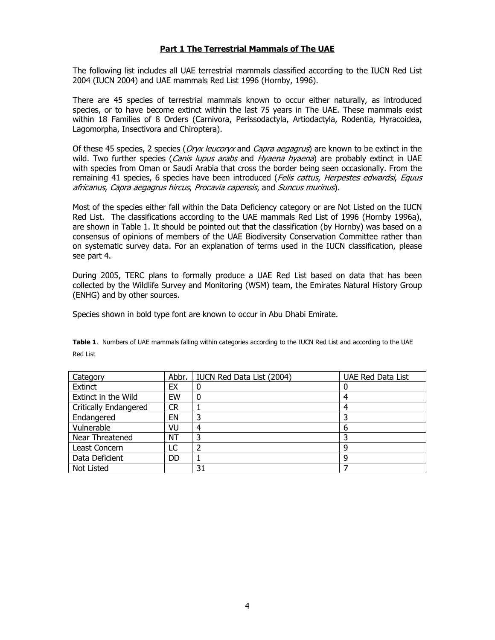## **Part 1 The Terrestrial Mammals of The UAE**

The following list includes all UAE terrestrial mammals classified according to the IUCN Red List 2004 (IUCN 2004) and UAE mammals Red List 1996 (Hornby, 1996).

There are 45 species of terrestrial mammals known to occur either naturally, as introduced species, or to have become extinct within the last 75 years in The UAE. These mammals exist within 18 Families of 8 Orders (Carnivora, Perissodactyla, Artiodactyla, Rodentia, Hyracoidea, Lagomorpha, Insectivora and Chiroptera).

Of these 45 species, 2 species (*Oryx leucoryx* and *Capra aegagrus*) are known to be extinct in the wild. Two further species (*Canis lupus arabs* and *Hyaena hyaena*) are probably extinct in UAE with species from Oman or Saudi Arabia that cross the border being seen occasionally. From the remaining 41 species, 6 species have been introduced (Felis cattus, Herpestes edwardsi, Equus africanus, Capra aegagrus hircus, Procavia capensis, and Suncus murinus).

Most of the species either fall within the Data Deficiency category or are Not Listed on the IUCN Red List. The classifications according to the UAE mammals Red List of 1996 (Hornby 1996a), are shown in Table 1. It should be pointed out that the classification (by Hornby) was based on a consensus of opinions of members of the UAE Biodiversity Conservation Committee rather than on systematic survey data. For an explanation of terms used in the IUCN classification, please see part 4.

During 2005, TERC plans to formally produce a UAE Red List based on data that has been collected by the Wildlife Survey and Monitoring (WSM) team, the Emirates Natural History Group (ENHG) and by other sources.

Species shown in bold type font are known to occur in Abu Dhabi Emirate.

| Category                     | Abbr.     | IUCN Red Data List (2004) | <b>UAE Red Data List</b> |
|------------------------------|-----------|---------------------------|--------------------------|
| Extinct                      | EX        | 0                         |                          |
| Extinct in the Wild          | EW        | 0                         |                          |
| <b>Critically Endangered</b> | <b>CR</b> |                           |                          |
| Endangered                   | EN        | 3                         |                          |
| Vulnerable                   | VU        | 4                         | 6                        |
| Near Threatened              | <b>NT</b> | 3                         |                          |
| Least Concern                | LC        |                           | q                        |
| Data Deficient               | DD        |                           | q                        |
| <b>Not Listed</b>            |           | 31                        |                          |

**Table 1**. Numbers of UAE mammals falling within categories according to the IUCN Red List and according to the UAE Red List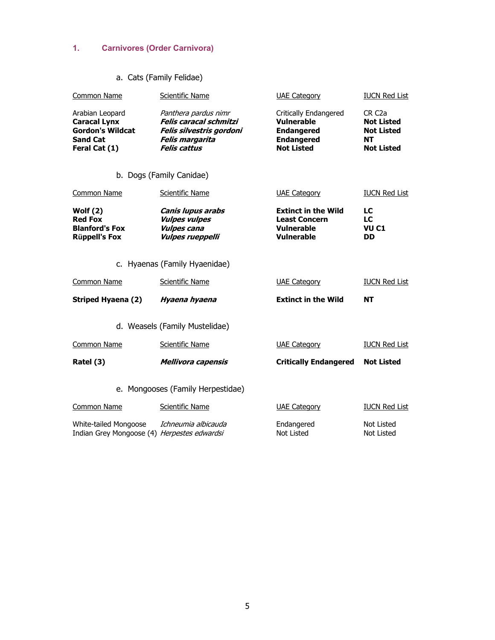## **1. Carnivores (Order Carnivora)**

## a. Cats (Family Felidae)

| Common Name                                                                                           | Scientific Name                                                                                                      | <b>UAE Category</b>                                                                                       | <b>IUCN Red List</b>                                                                          |
|-------------------------------------------------------------------------------------------------------|----------------------------------------------------------------------------------------------------------------------|-----------------------------------------------------------------------------------------------------------|-----------------------------------------------------------------------------------------------|
| Arabian Leopard<br><b>Caracal Lynx</b><br><b>Gordon's Wildcat</b><br><b>Sand Cat</b><br>Feral Cat (1) | Panthera pardus nimr<br>Felis caracal schmitzi<br>Felis silvestris gordoni<br>Felis margarita<br><b>Felis cattus</b> | Critically Endangered<br><b>Vulnerable</b><br><b>Endangered</b><br><b>Endangered</b><br><b>Not Listed</b> | CR <sub>C2a</sub><br><b>Not Listed</b><br><b>Not Listed</b><br><b>NT</b><br><b>Not Listed</b> |
|                                                                                                       | b. Dogs (Family Canidae)                                                                                             |                                                                                                           |                                                                                               |
| Common Name                                                                                           | <b>Scientific Name</b>                                                                                               | <b>UAE Category</b>                                                                                       | <b>IUCN Red List</b>                                                                          |
| Wolf $(2)$<br><b>Red Fox</b><br><b>Blanford's Fox</b><br><b>Rüppell's Fox</b>                         | Canis lupus arabs<br><b>Vulpes vulpes</b><br><b>Vulpes cana</b><br><b>Vulpes rueppelli</b>                           | <b>Extinct in the Wild</b><br><b>Least Concern</b><br><b>Vulnerable</b><br><b>Vulnerable</b>              | LC<br>LC<br><b>VU C1</b><br><b>DD</b>                                                         |
|                                                                                                       | c. Hyaenas (Family Hyaenidae)                                                                                        |                                                                                                           |                                                                                               |
| Common Name                                                                                           | <b>Scientific Name</b>                                                                                               | <b>UAE Category</b>                                                                                       | <b>IUCN Red List</b>                                                                          |
| <b>Striped Hyaena (2)</b>                                                                             | Hyaena hyaena                                                                                                        | <b>Extinct in the Wild</b>                                                                                | NT                                                                                            |
|                                                                                                       | d. Weasels (Family Mustelidae)                                                                                       |                                                                                                           |                                                                                               |
| Common Name                                                                                           | Scientific Name                                                                                                      | <b>UAE Category</b>                                                                                       | <b>IUCN Red List</b>                                                                          |
| Ratel (3)                                                                                             | <b>Mellivora capensis</b>                                                                                            | <b>Critically Endangered</b>                                                                              | <b>Not Listed</b>                                                                             |
|                                                                                                       | e. Mongooses (Family Herpestidae)                                                                                    |                                                                                                           |                                                                                               |
| Common Name                                                                                           | <b>Scientific Name</b>                                                                                               | <b>UAE Category</b>                                                                                       | <b>IUCN Red List</b>                                                                          |
| White-tailed Mongoose<br>Indian Grey Mongoose (4) Herpestes edwardsi                                  | Ichneumia albicauda                                                                                                  | Endangered<br>Not Listed                                                                                  | Not Listed<br><b>Not Listed</b>                                                               |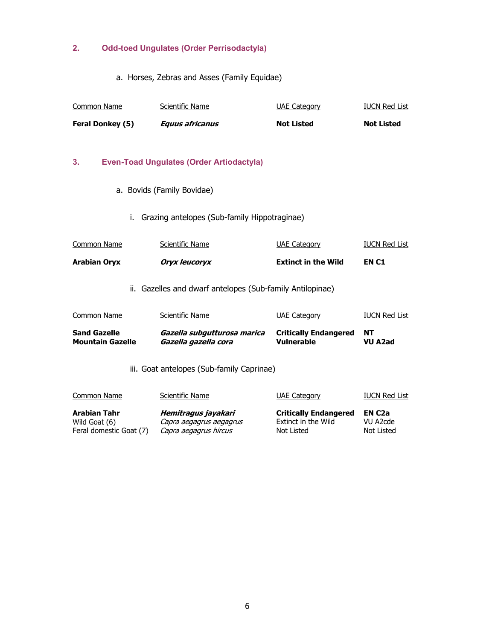## **2. Odd-toed Ungulates (Order Perrisodactyla)**

## a. Horses, Zebras and Asses (Family Equidae)

| Common Name                                                     | Scientific Name                                                         | <b>UAE Category</b>                                                      | <b>IUCN Red List</b>                    |
|-----------------------------------------------------------------|-------------------------------------------------------------------------|--------------------------------------------------------------------------|-----------------------------------------|
| Feral Donkey (5)                                                | <b>Equus africanus</b>                                                  | <b>Not Listed</b>                                                        | <b>Not Listed</b>                       |
|                                                                 |                                                                         |                                                                          |                                         |
| 3.                                                              | <b>Even-Toad Ungulates (Order Artiodactyla)</b>                         |                                                                          |                                         |
|                                                                 | a. Bovids (Family Bovidae)                                              |                                                                          |                                         |
| i.                                                              | Grazing antelopes (Sub-family Hippotraginae)                            |                                                                          |                                         |
| Common Name                                                     | Scientific Name                                                         | <b>UAE Category</b>                                                      | <b>IUCN Red List</b>                    |
| <b>Arabian Oryx</b>                                             | Oryx leucoryx                                                           | <b>Extinct in the Wild</b>                                               | <b>EN C1</b>                            |
|                                                                 | ii. Gazelles and dwarf antelopes (Sub-family Antilopinae)               |                                                                          |                                         |
| Common Name                                                     | <b>Scientific Name</b>                                                  | <b>UAE Category</b>                                                      | <b>IUCN Red List</b>                    |
| <b>Sand Gazelle</b><br><b>Mountain Gazelle</b>                  | Gazella subgutturosa marica<br>Gazella gazella cora                     | <b>Critically Endangered</b><br><b>Vulnerable</b>                        | <b>NT</b><br><b>VU A2ad</b>             |
|                                                                 | iii. Goat antelopes (Sub-family Caprinae)                               |                                                                          |                                         |
| Common Name                                                     | <b>Scientific Name</b>                                                  | <b>UAE Category</b>                                                      | <b>IUCN Red List</b>                    |
| <b>Arabian Tahr</b><br>Wild Goat (6)<br>Feral domestic Goat (7) | Hemitragus jayakari<br>Capra aegagrus aegagrus<br>Capra aegagrus hircus | <b>Critically Endangered</b><br>Extinct in the Wild<br><b>Not Listed</b> | <b>EN C2a</b><br>VU A2cde<br>Not Listed |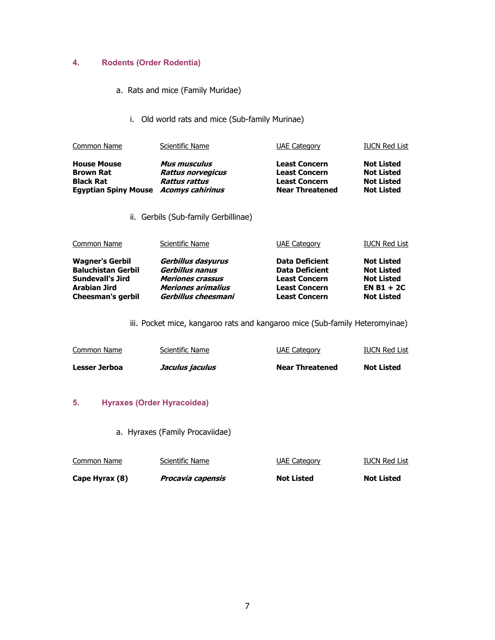## **4. Rodents (Order Rodentia)**

- a. Rats and mice (Family Muridae)
	- i. Old world rats and mice (Sub-family Murinae)

| Common Name                                         | Scientific Name          | <b>UAE Category</b>    | <b>IUCN Red List</b> |
|-----------------------------------------------------|--------------------------|------------------------|----------------------|
| <b>House Mouse</b>                                  | <b>Mus musculus</b>      | <b>Least Concern</b>   | <b>Not Listed</b>    |
| <b>Brown Rat</b>                                    | <b>Rattus norvegicus</b> | <b>Least Concern</b>   | <b>Not Listed</b>    |
| <b>Black Rat</b>                                    | <b>Rattus rattus</b>     | <b>Least Concern</b>   | <b>Not Listed</b>    |
| <b>Egyptian Spiny Mouse</b> <i>Acomys cahirinus</i> |                          | <b>Near Threatened</b> | <b>Not Listed</b>    |

ii. Gerbils (Sub-family Gerbillinae)

| Common Name                                                                                                                | Scientific Name                                                                                                      | <b>UAE Category</b>                                                                                                    | <b>IUCN Red List</b>                                                                             |
|----------------------------------------------------------------------------------------------------------------------------|----------------------------------------------------------------------------------------------------------------------|------------------------------------------------------------------------------------------------------------------------|--------------------------------------------------------------------------------------------------|
| <b>Wagner's Gerbil</b><br><b>Baluchistan Gerbil</b><br><b>Sundevall's Jird</b><br>Arabian Jird<br><b>Cheesman's gerbil</b> | Gerbillus dasyurus<br>Gerbillus nanus<br><b>Meriones crassus</b><br><b>Meriones arimalius</b><br>Gerbillus cheesmani | <b>Data Deficient</b><br><b>Data Deficient</b><br><b>Least Concern</b><br><b>Least Concern</b><br><b>Least Concern</b> | <b>Not Listed</b><br><b>Not Listed</b><br><b>Not Listed</b><br>$EN B1 + 2C$<br><b>Not Listed</b> |
|                                                                                                                            |                                                                                                                      |                                                                                                                        |                                                                                                  |

iii. Pocket mice, kangaroo rats and kangaroo mice (Sub-family Heteromyinae)

| Lesser Jerboa | Jaculus jaculus | <b>Near Threatened</b> | <b>Not Listed</b>    |
|---------------|-----------------|------------------------|----------------------|
| Common Name   | Scientific Name | <b>UAE Category</b>    | <b>IUCN Red List</b> |

## **5. Hyraxes (Order Hyracoidea)**

a. Hyraxes (Family Procaviidae)

| Cape Hyrax (8) | Procavia capensis | <b>Not Listed</b> | <b>Not Listed</b>    |
|----------------|-------------------|-------------------|----------------------|
| Common Name    | Scientific Name   | UAE Category      | <b>IUCN Red List</b> |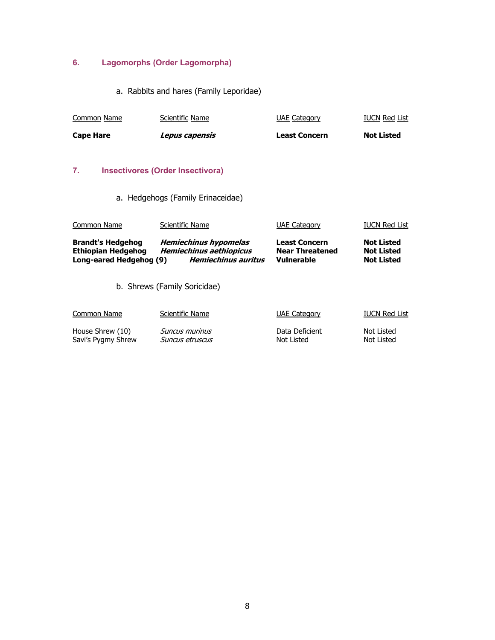## **6. Lagomorphs (Order Lagomorpha)**

## a. Rabbits and hares (Family Leporidae)

| <b>Common Name</b>                                                               | <b>Scientific Name</b>                                                                       | <b>UAE Category</b>                            | <b>IUCN Red List</b>                   |
|----------------------------------------------------------------------------------|----------------------------------------------------------------------------------------------|------------------------------------------------|----------------------------------------|
| <b>Cape Hare</b>                                                                 | Lepus capensis                                                                               | <b>Least Concern</b>                           | <b>Not Listed</b>                      |
| 7.                                                                               | <b>Insectivores (Order Insectivora)</b>                                                      |                                                |                                        |
|                                                                                  | a. Hedgehogs (Family Erinaceidae)                                                            |                                                |                                        |
| Common Name                                                                      | Scientific Name                                                                              | <b>UAE Category</b>                            | <b>IUCN Red List</b>                   |
| <b>Brandt's Hedgehog</b><br><b>Ethiopian Hedgehog</b><br>Long-eared Hedgehog (9) | <b>Hemiechinus hypomelas</b><br><b>Hemiechinus aethiopicus</b><br><b>Hemiechinus auritus</b> | <b>Least Concern</b><br><b>Near Threatened</b> | <b>Not Listed</b><br><b>Not Listed</b> |
|                                                                                  |                                                                                              | <b>Vulnerable</b>                              | <b>Not Listed</b>                      |
|                                                                                  | b. Shrews (Family Soricidae)                                                                 |                                                |                                        |
| <b>Common Name</b>                                                               | <b>Scientific Name</b>                                                                       | <b>UAE Category</b>                            | <b>IUCN Red List</b>                   |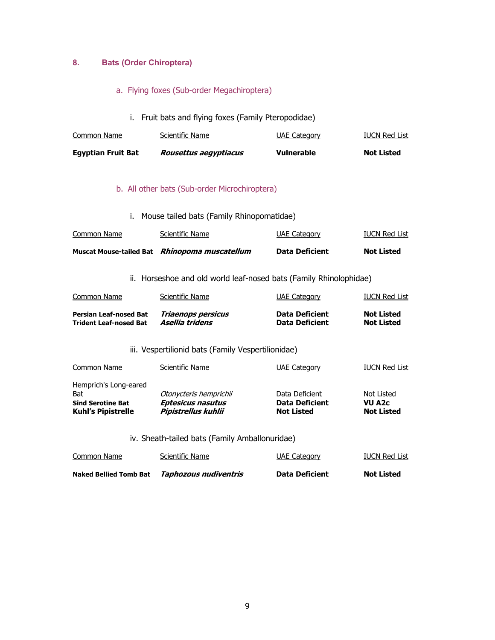## **8. Bats (Order Chiroptera)**

## a. Flying foxes (Sub-order Megachiroptera)

i. Fruit bats and flying foxes (Family Pteropodidae)

| <b>Egyptian Fruit Bat</b> | <i><b>Rousettus aegyptiacus</b></i> | <b>Vulnerable</b> | <b>Not Listed</b> |
|---------------------------|-------------------------------------|-------------------|-------------------|
| Common Name               | Scientific Name                     | UAE Category      | IUCN Red List     |

#### b. All other bats (Sub-order Microchiroptera)

i. Mouse tailed bats (Family Rhinopomatidae)

| <b>Common Name</b> | Scientific Name                               | <b>UAE Category</b>   | <b>IUCN Red List</b> |
|--------------------|-----------------------------------------------|-----------------------|----------------------|
|                    | Muscat Mouse-tailed Bat Rhinopoma muscatellum | <b>Data Deficient</b> | <b>Not Listed</b>    |

#### ii. Horseshoe and old world leaf-nosed bats (Family Rhinolophidae)

| Common Name                   | Scientific Name    | <b>UAE Category</b>   | <b>IUCN Red List</b> |
|-------------------------------|--------------------|-----------------------|----------------------|
| <b>Persian Leaf-nosed Bat</b> | Triaenops persicus | <b>Data Deficient</b> | <b>Not Listed</b>    |
| <b>Trident Leaf-nosed Bat</b> | Asellia tridens    | <b>Data Deficient</b> | <b>Not Listed</b>    |

#### iii. Vespertilionid bats (Family Vespertilionidae)

| <b>Kuhl's Pipistrelle</b>           | Pipistrellus kuhlii      | <b>Not Listed</b>     | <b>Not Listed</b>    |
|-------------------------------------|--------------------------|-----------------------|----------------------|
| <b>Sind Serotine Bat</b>            | <b>Eptesicus nasutus</b> | <b>Data Deficient</b> | VU A <sub>2c</sub>   |
| Hemprich's Long-eared<br><b>Bat</b> | Otonycteris hemprichii   | Data Deficient        | Not Listed           |
| Common Name                         | Scientific Name          | <b>UAE Category</b>   | <b>IUCN Red List</b> |

#### iv. Sheath-tailed bats (Family Amballonuridae)

| <b>Naked Bellied Tomb Bat</b> | Taphozous nudiventris | <b>Data Deficient</b> | <b>Not Listed</b>    |
|-------------------------------|-----------------------|-----------------------|----------------------|
| Common Name                   | Scientific Name       | <b>UAE Category</b>   | <b>IUCN Red List</b> |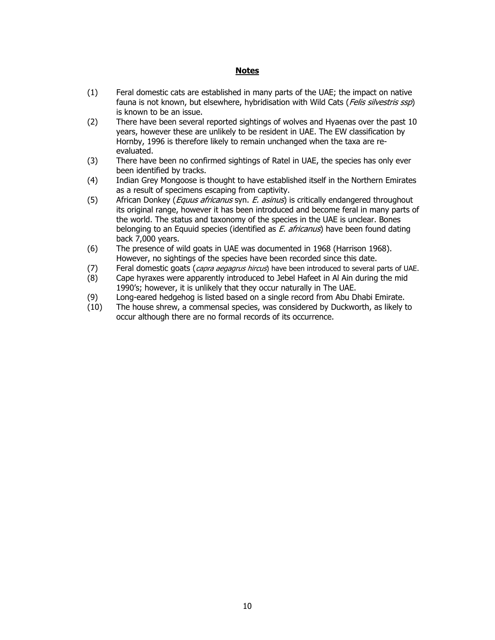### **Notes**

- (1) Feral domestic cats are established in many parts of the UAE; the impact on native fauna is not known, but elsewhere, hybridisation with Wild Cats (Felis silvestris ssp) is known to be an issue.
- (2) There have been several reported sightings of wolves and Hyaenas over the past 10 years, however these are unlikely to be resident in UAE. The EW classification by Hornby, 1996 is therefore likely to remain unchanged when the taxa are reevaluated.
- (3) There have been no confirmed sightings of Ratel in UAE, the species has only ever been identified by tracks.
- (4) Indian Grey Mongoose is thought to have established itself in the Northern Emirates as a result of specimens escaping from captivity.
- (5) African Donkey (*Equus africanus* syn. E. asinus) is critically endangered throughout its original range, however it has been introduced and become feral in many parts of the world. The status and taxonomy of the species in the UAE is unclear. Bones belonging to an Equuid species (identified as *E. africanus*) have been found dating back 7,000 years.
- (6) The presence of wild goats in UAE was documented in 1968 (Harrison 1968). However, no sightings of the species have been recorded since this date.
- (7) Feral domestic goats (capra aegagrus hircus) have been introduced to several parts of UAE.
- (8) Cape hyraxes were apparently introduced to Jebel Hafeet in Al Ain during the mid 1990's; however, it is unlikely that they occur naturally in The UAE.
- (9) Long-eared hedgehog is listed based on a single record from Abu Dhabi Emirate.
- (10) The house shrew, a commensal species, was considered by Duckworth, as likely to occur although there are no formal records of its occurrence.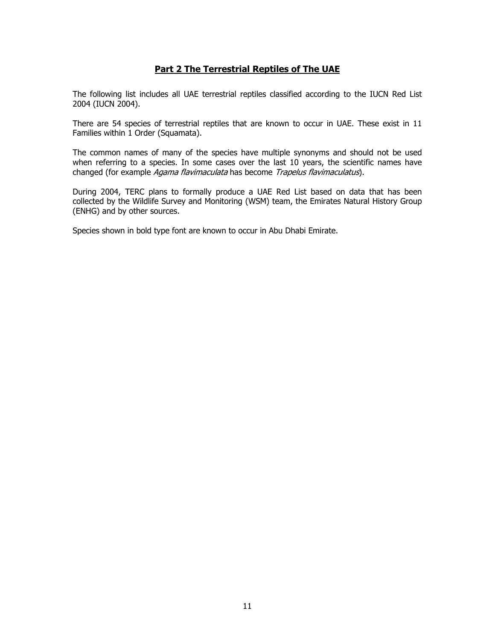## **Part 2 The Terrestrial Reptiles of The UAE**

The following list includes all UAE terrestrial reptiles classified according to the IUCN Red List 2004 (IUCN 2004).

There are 54 species of terrestrial reptiles that are known to occur in UAE. These exist in 11 Families within 1 Order (Squamata).

The common names of many of the species have multiple synonyms and should not be used when referring to a species. In some cases over the last 10 years, the scientific names have changed (for example Agama flavimaculata has become Trapelus flavimaculatus).

During 2004, TERC plans to formally produce a UAE Red List based on data that has been collected by the Wildlife Survey and Monitoring (WSM) team, the Emirates Natural History Group (ENHG) and by other sources.

Species shown in bold type font are known to occur in Abu Dhabi Emirate.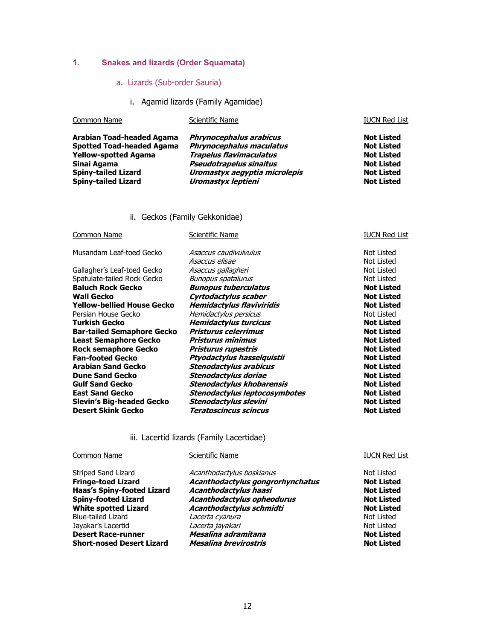## **1. Snakes and lizards (Order Squamata)**

## a. Lizards (Sub-order Sauria)

## i. Agamid lizards (Family Agamidae)

| Common Name                      | Scientific Name                 | <b>IUCN Red List</b> |
|----------------------------------|---------------------------------|----------------------|
| Arabian Toad-headed Agama        | <b>Phrynocephalus arabicus</b>  | <b>Not Listed</b>    |
| <b>Spotted Toad-headed Agama</b> | <b>Phrynocephalus maculatus</b> | <b>Not Listed</b>    |
| <b>Yellow-spotted Agama</b>      | <b>Trapelus flavimaculatus</b>  | <b>Not Listed</b>    |
| Sinai Agama                      | Pseudotrapelus sinaitus         | <b>Not Listed</b>    |
| <b>Spiny-tailed Lizard</b>       | Uromastyx aegyptia microlepis   | <b>Not Listed</b>    |
| <b>Spiny-tailed Lizard</b>       | Uromastyx leptieni              | <b>Not Listed</b>    |

#### ii. Geckos (Family Gekkonidae)

| Common Name                       | Scientific Name                  | <b>IUCN Red List</b> |
|-----------------------------------|----------------------------------|----------------------|
| Musandam Leaf-toed Gecko          | Asaccus caudivulvulus            | Not Listed           |
|                                   | Asaccus elisae                   | Not Listed           |
| Gallagher's Leaf-toed Gecko       | Asaccus gallagheri               | Not Listed           |
| Spatulate-tailed Rock Gecko       | <b>Bunopus spatalurus</b>        | Not Listed           |
| <b>Baluch Rock Gecko</b>          | <b>Bunopus tuberculatus</b>      | <b>Not Listed</b>    |
| <b>Wall Gecko</b>                 | Cyrtodactylus scaber             | <b>Not Listed</b>    |
| <b>Yellow-bellied House Gecko</b> | <b>Hemidactylus flaviviridis</b> | <b>Not Listed</b>    |
| Persian House Gecko               | Hemidactylus persicus            | Not Listed           |
| Turkish Gecko                     | Hemidactylus turcicus            | <b>Not Listed</b>    |
| <b>Bar-tailed Semaphore Gecko</b> | <b>Pristurus celerrimus</b>      | <b>Not Listed</b>    |
| <b>Least Semaphore Gecko</b>      | <b>Pristurus minimus</b>         | <b>Not Listed</b>    |
| <b>Rock semaphore Gecko</b>       | Pristurus rupestris              | <b>Not Listed</b>    |
| <b>Fan-footed Gecko</b>           | Ptyodactylus hasselquistii       | <b>Not Listed</b>    |
| <b>Arabian Sand Gecko</b>         | Stenodactylus arabicus           | <b>Not Listed</b>    |
| <b>Dune Sand Gecko</b>            | Stenodactylus doriae             | <b>Not Listed</b>    |
| <b>Gulf Sand Gecko</b>            | Stenodactylus khobarensis        | <b>Not Listed</b>    |
| <b>East Sand Gecko</b>            | Stenodactylus leptocosymbotes    | <b>Not Listed</b>    |
| Slevin's Big-headed Gecko         | Stenodactylus slevini            | <b>Not Listed</b>    |
| <b>Desert Skink Gecko</b>         | Teratoscincus scincus            | <b>Not Listed</b>    |
|                                   |                                  |                      |

## iii. Lacertid lizards (Family Lacertidae)

| <u>Common Name</u>          | <b>Scientific Name</b>            | <b>IUCN Red L</b> |
|-----------------------------|-----------------------------------|-------------------|
| Striped Sand Lizard         | Acanthodactylus boskianus         | Not Listed        |
| <b>Fringe-toed Lizard</b>   | Acanthodactylus gongrorhynchatus  | <b>Not Listed</b> |
| Haas's Spiny-footed Lizard  | Acanthodactylus haasi             | <b>Not Listed</b> |
| <b>Spiny-footed Lizard</b>  | <b>Acanthodactylus opheodurus</b> | <b>Not Listed</b> |
| <b>White spotted Lizard</b> | Acanthodactylus schmidti          | <b>Not Listed</b> |
| Blue-tailed Lizard          | Lacerta cyanura                   | Not Listed        |
| Jayakar's Lacertid          | Lacerta jayakari                  | Not Listed        |
| <b>Desert Race-runner</b>   | Mesalina adramitana               | <b>Not Listed</b> |
| Short-nosed Desert Lizard   | <b>Mesalina brevirostris</b>      | <b>Not Listed</b> |
|                             |                                   |                   |

#### UCN Red List

**Spiny-footed Lizard Acanthodactylus opheodurus Not Listed Not Listed Short-nosed Desert Lizard Mesalina brevirostris Not Listed**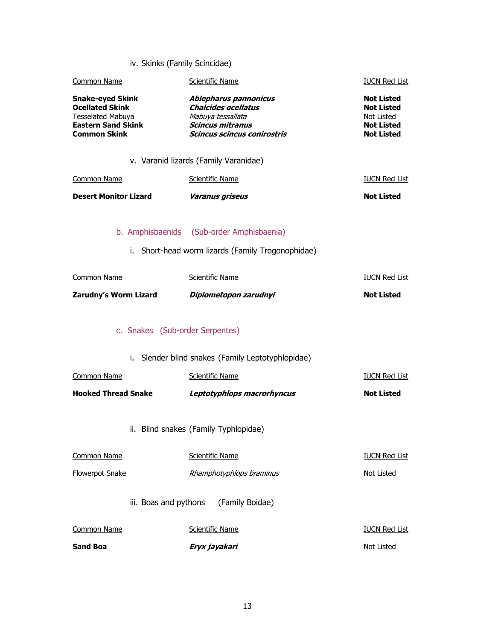## iv. Skinks (Family Scincidae)

| <b>Common Name</b>                                                                                                                | Scientific Name                                                                                                                           | <b>IUCN Red List</b>                                                                           |
|-----------------------------------------------------------------------------------------------------------------------------------|-------------------------------------------------------------------------------------------------------------------------------------------|------------------------------------------------------------------------------------------------|
| <b>Snake-eyed Skink</b><br><b>Ocellated Skink</b><br><b>Tesselated Mabuya</b><br><b>Eastern Sand Skink</b><br><b>Common Skink</b> | Ablepharus pannonicus<br><b>Chalcides ocellatus</b><br>Mabuya tessallata<br><b>Scincus mitranus</b><br><b>Scincus scincus conirostris</b> | <b>Not Listed</b><br><b>Not Listed</b><br>Not Listed<br><b>Not Listed</b><br><b>Not Listed</b> |
|                                                                                                                                   | v. Varanid lizards (Family Varanidae)                                                                                                     |                                                                                                |
| Common Name                                                                                                                       | Scientific Name                                                                                                                           | <b>IUCN Red List</b>                                                                           |
| <b>Desert Monitor Lizard</b>                                                                                                      | Varanus griseus                                                                                                                           | <b>Not Listed</b>                                                                              |
|                                                                                                                                   |                                                                                                                                           |                                                                                                |
|                                                                                                                                   | b. Amphisbaenids (Sub-order Amphisbaenia)                                                                                                 |                                                                                                |
|                                                                                                                                   | i. Short-head worm lizards (Family Trogonophidae)                                                                                         |                                                                                                |
| <b>Common Name</b>                                                                                                                | Scientific Name                                                                                                                           | <b>IUCN Red List</b>                                                                           |
| Zarudny's Worm Lizard                                                                                                             | Diplometopon zarudnyi                                                                                                                     | <b>Not Listed</b>                                                                              |
|                                                                                                                                   |                                                                                                                                           |                                                                                                |
| c. Snakes (Sub-order Serpentes)                                                                                                   |                                                                                                                                           |                                                                                                |
|                                                                                                                                   | i. Slender blind snakes (Family Leptotyphlopidae)                                                                                         |                                                                                                |
| Common Name                                                                                                                       | <b>Scientific Name</b>                                                                                                                    | <b>IUCN Red List</b>                                                                           |
| <b>Hooked Thread Snake</b>                                                                                                        | Leptotyphlops macrorhyncus                                                                                                                | <b>Not Listed</b>                                                                              |
|                                                                                                                                   |                                                                                                                                           |                                                                                                |
|                                                                                                                                   | ii. Blind snakes (Family Typhlopidae)                                                                                                     |                                                                                                |
| Common Name                                                                                                                       | <b>Scientific Name</b>                                                                                                                    | <b>IUCN Red List</b>                                                                           |
| <b>Flowerpot Snake</b>                                                                                                            | Rhamphotyphlops braminus                                                                                                                  | Not Listed                                                                                     |
|                                                                                                                                   |                                                                                                                                           |                                                                                                |
| iii. Boas and pythons                                                                                                             | (Family Boidae)                                                                                                                           |                                                                                                |
| Common Name                                                                                                                       | <b>Scientific Name</b>                                                                                                                    | <b>IUCN Red List</b>                                                                           |
| <b>Sand Boa</b>                                                                                                                   |                                                                                                                                           |                                                                                                |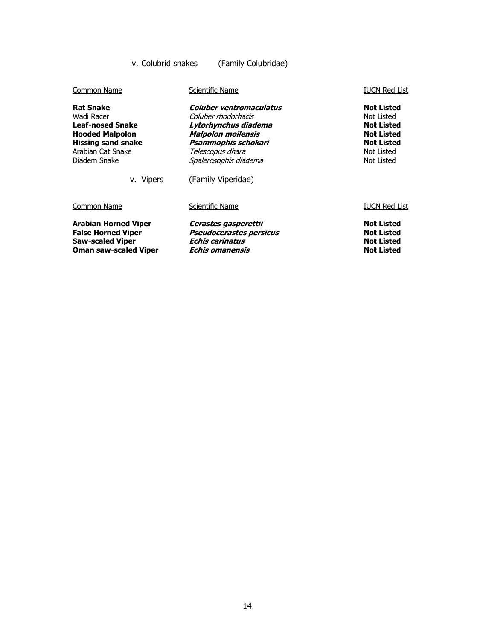## iv. Colubrid snakes (Family Colubridae)

## Common Name **IUCN** Red List

| <b>Arabian Horned Viper</b>  | Cerastes gasperettii           | <b>Not Listed</b>    |
|------------------------------|--------------------------------|----------------------|
| <b>False Horned Viper</b>    | <b>Pseudocerastes persicus</b> | <b>Not Listed</b>    |
| <b>Saw-scaled Viper</b>      | <b>Echis carinatus</b>         | <b>Not Listed</b>    |
| <b>Oman saw-scaled Viper</b> | <b>Echis omanensis</b>         | <b>Not Listed</b>    |
| Common Name                  | Scientific Name                | <b>IUCN Red List</b> |
| v. Vipers                    | (Family Viperidae)             |                      |
| <b>Leaf-nosed Snake</b>      | Lytorhynchus diadema           | <b>Not Listed</b>    |
| <b>Hooded Malpolon</b>       | <b>Malpolon moilensis</b>      | <b>Not Listed</b>    |
| <b>Hissing sand snake</b>    | Psammophis schokari            | <b>Not Listed</b>    |
| Arabian Cat Snake            | Telescopus dhara               | Not Listed           |
| Diadem Snake                 | Spalerosophis diadema          | Not Listed           |
| <b>Rat Snake</b>             | Coluber ventromaculatus        | <b>Not Listed</b>    |
| Wadi Racer                   | Coluber rhodorhacis            | Not Listed           |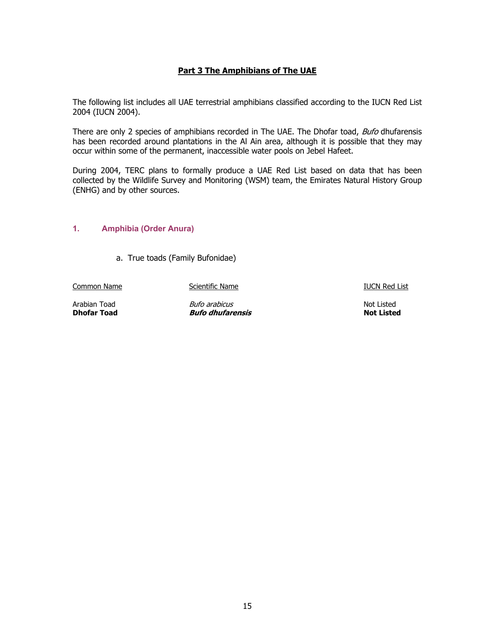## **Part 3 The Amphibians of The UAE**

The following list includes all UAE terrestrial amphibians classified according to the IUCN Red List 2004 (IUCN 2004).

There are only 2 species of amphibians recorded in The UAE. The Dhofar toad, Bufo dhufarensis has been recorded around plantations in the Al Ain area, although it is possible that they may occur within some of the permanent, inaccessible water pools on Jebel Hafeet.

During 2004, TERC plans to formally produce a UAE Red List based on data that has been collected by the Wildlife Survey and Monitoring (WSM) team, the Emirates Natural History Group (ENHG) and by other sources.

### **1. Amphibia (Order Anura)**

a. True toads (Family Bufonidae)

Common Name **IUCN** Red List Common Name **IUCN** Red List

Arabian Toad Bufo arabicus Not Listed **Bufo dhufarensis**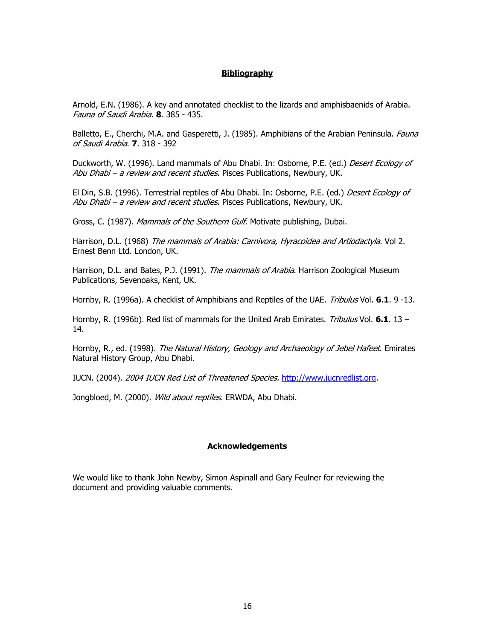## **Bibliography**

Arnold, E.N. (1986). A key and annotated checklist to the lizards and amphisbaenids of Arabia. Fauna of Saudi Arabia. **8**. 385 - 435.

Balletto, E., Cherchi, M.A. and Gasperetti, J. (1985). Amphibians of the Arabian Peninsula. *Fauna* of Saudi Arabia. **7**. 318 - 392

Duckworth, W. (1996). Land mammals of Abu Dhabi. In: Osborne, P.E. (ed.) Desert Ecology of Abu Dhabi – a review and recent studies. Pisces Publications, Newbury, UK.

El Din, S.B. (1996). Terrestrial reptiles of Abu Dhabi. In: Osborne, P.E. (ed.) Desert Ecology of Abu Dhabi – a review and recent studies. Pisces Publications, Newbury, UK.

Gross, C. (1987). Mammals of the Southern Gulf. Motivate publishing, Dubai.

Harrison, D.L. (1968) The mammals of Arabia: Carnivora, Hyracoidea and Artiodactyla. Vol 2. Ernest Benn Ltd. London, UK.

Harrison, D.L. and Bates, P.J. (1991). The mammals of Arabia. Harrison Zoological Museum Publications, Sevenoaks, Kent, UK.

Hornby, R. (1996a). A checklist of Amphibians and Reptiles of the UAE. Tribulus Vol. **6.1**. 9 -13.

Hornby, R. (1996b). Red list of mammals for the United Arab Emirates. Tribulus Vol. **6.1**. 13 – 14.

Hornby, R., ed. (1998). The Natural History, Geology and Archaeology of Jebel Hafeet. Emirates Natural History Group, Abu Dhabi.

IUCN. (2004). 2004 IUCN Red List of Threatened Species. http://www.iucnredlist.org.

Jongbloed, M. (2000). Wild about reptiles. ERWDA, Abu Dhabi.

#### **Acknowledgements**

We would like to thank John Newby, Simon Aspinall and Gary Feulner for reviewing the document and providing valuable comments.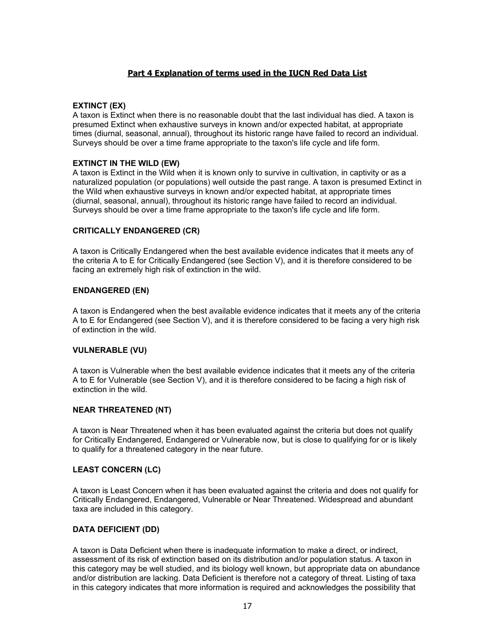## **Part 4 Explanation of terms used in the IUCN Red Data List**

#### **EXTINCT (EX)**

A taxon is Extinct when there is no reasonable doubt that the last individual has died. A taxon is presumed Extinct when exhaustive surveys in known and/or expected habitat, at appropriate times (diurnal, seasonal, annual), throughout its historic range have failed to record an individual. Surveys should be over a time frame appropriate to the taxon's life cycle and life form.

#### **EXTINCT IN THE WILD (EW)**

A taxon is Extinct in the Wild when it is known only to survive in cultivation, in captivity or as a naturalized population (or populations) well outside the past range. A taxon is presumed Extinct in the Wild when exhaustive surveys in known and/or expected habitat, at appropriate times (diurnal, seasonal, annual), throughout its historic range have failed to record an individual. Surveys should be over a time frame appropriate to the taxon's life cycle and life form.

#### **CRITICALLY ENDANGERED (CR)**

A taxon is Critically Endangered when the best available evidence indicates that it meets any of the criteria A to E for Critically Endangered (see Section V), and it is therefore considered to be facing an extremely high risk of extinction in the wild.

#### **ENDANGERED (EN)**

A taxon is Endangered when the best available evidence indicates that it meets any of the criteria A to E for Endangered (see Section V), and it is therefore considered to be facing a very high risk of extinction in the wild.

#### **VULNERABLE (VU)**

A taxon is Vulnerable when the best available evidence indicates that it meets any of the criteria A to E for Vulnerable (see Section V), and it is therefore considered to be facing a high risk of extinction in the wild.

#### **NEAR THREATENED (NT)**

A taxon is Near Threatened when it has been evaluated against the criteria but does not qualify for Critically Endangered, Endangered or Vulnerable now, but is close to qualifying for or is likely to qualify for a threatened category in the near future.

#### **LEAST CONCERN (LC)**

A taxon is Least Concern when it has been evaluated against the criteria and does not qualify for Critically Endangered, Endangered, Vulnerable or Near Threatened. Widespread and abundant taxa are included in this category.

## **DATA DEFICIENT (DD)**

A taxon is Data Deficient when there is inadequate information to make a direct, or indirect, assessment of its risk of extinction based on its distribution and/or population status. A taxon in this category may be well studied, and its biology well known, but appropriate data on abundance and/or distribution are lacking. Data Deficient is therefore not a category of threat. Listing of taxa in this category indicates that more information is required and acknowledges the possibility that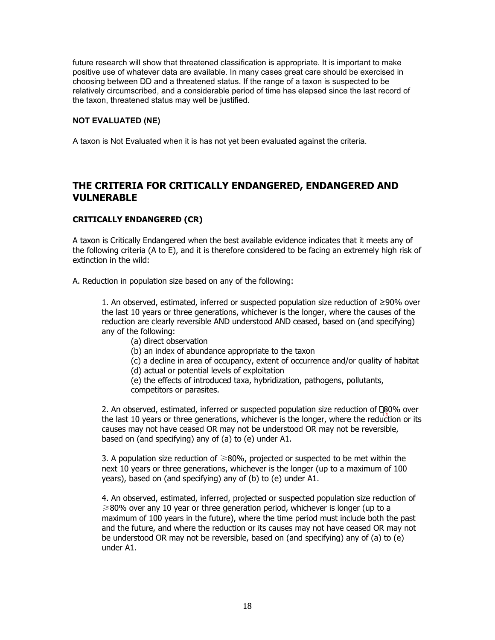future research will show that threatened classification is appropriate. It is important to make positive use of whatever data are available. In many cases great care should be exercised in choosing between DD and a threatened status. If the range of a taxon is suspected to be relatively circumscribed, and a considerable period of time has elapsed since the last record of the taxon, threatened status may well be justified.

### **NOT EVALUATED (NE)**

A taxon is Not Evaluated when it is has not yet been evaluated against the criteria.

## **THE CRITERIA FOR CRITICALLY ENDANGERED, ENDANGERED AND VULNERABLE**

## **CRITICALLY ENDANGERED (CR)**

A taxon is Critically Endangered when the best available evidence indicates that it meets any of the following criteria (A to E), and it is therefore considered to be facing an extremely high risk of extinction in the wild:

A. Reduction in population size based on any of the following:

1. An observed, estimated, inferred or suspected population size reduction of ≥90% over the last 10 years or three generations, whichever is the longer, where the causes of the reduction are clearly reversible AND understood AND ceased, based on (and specifying) any of the following:

- (a) direct observation
- (b) an index of abundance appropriate to the taxon
- (c) a decline in area of occupancy, extent of occurrence and/or quality of habitat
- (d) actual or potential levels of exploitation

 (e) the effects of introduced taxa, hybridization, pathogens, pollutants, competitors or parasites.

2. An observed, estimated, inferred or suspected population size reduction of  $\Box 80\%$  over the last 10 years or three generations, whichever is the longer, where the reduction or its causes may not have ceased OR may not be understood OR may not be reversible, based on (and specifying) any of (a) to (e) under A1.

3. A population size reduction of  $\geq 80\%$ , projected or suspected to be met within the next 10 years or three generations, whichever is the longer (up to a maximum of 100 years), based on (and specifying) any of (b) to (e) under A1.

 4. An observed, estimated, inferred, projected or suspected population size reduction of ≥80% over any 10 year or three generation period, whichever is longer (up to a maximum of 100 years in the future), where the time period must include both the past and the future, and where the reduction or its causes may not have ceased OR may not be understood OR may not be reversible, based on (and specifying) any of (a) to (e) under A1.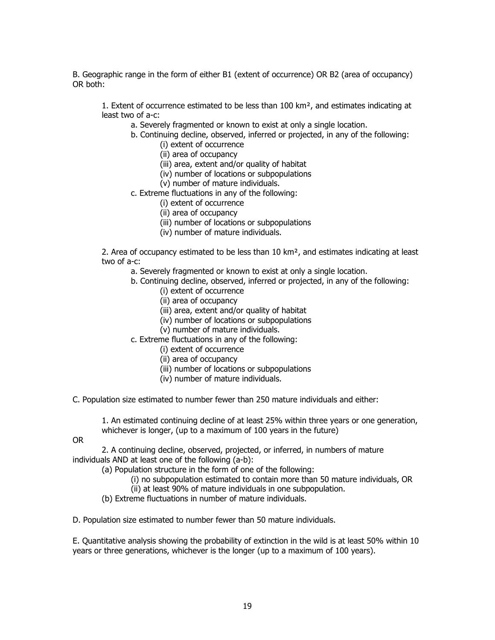B. Geographic range in the form of either B1 (extent of occurrence) OR B2 (area of occupancy) OR both:

 1. Extent of occurrence estimated to be less than 100 km², and estimates indicating at least two of a-c:

a. Severely fragmented or known to exist at only a single location.

b. Continuing decline, observed, inferred or projected, in any of the following:

- (i) extent of occurrence
- (ii) area of occupancy
- (iii) area, extent and/or quality of habitat
- (iv) number of locations or subpopulations
- (v) number of mature individuals.
- c. Extreme fluctuations in any of the following:
	- (i) extent of occurrence
	- (ii) area of occupancy
	- (iii) number of locations or subpopulations
	- (iv) number of mature individuals.

2. Area of occupancy estimated to be less than 10  $km<sup>2</sup>$ , and estimates indicating at least two of a-c:

a. Severely fragmented or known to exist at only a single location.

- b. Continuing decline, observed, inferred or projected, in any of the following:
	- (i) extent of occurrence
	- (ii) area of occupancy
	- (iii) area, extent and/or quality of habitat
	- (iv) number of locations or subpopulations
	- (v) number of mature individuals.
- c. Extreme fluctuations in any of the following:
	- (i) extent of occurrence
	- (ii) area of occupancy
	- (iii) number of locations or subpopulations
	- (iv) number of mature individuals.

C. Population size estimated to number fewer than 250 mature individuals and either:

 1. An estimated continuing decline of at least 25% within three years or one generation, whichever is longer, (up to a maximum of 100 years in the future)

OR

 2. A continuing decline, observed, projected, or inferred, in numbers of mature individuals AND at least one of the following (a-b):

(a) Population structure in the form of one of the following:

(i) no subpopulation estimated to contain more than 50 mature individuals, OR

- (ii) at least 90% of mature individuals in one subpopulation.
- (b) Extreme fluctuations in number of mature individuals.

D. Population size estimated to number fewer than 50 mature individuals.

E. Quantitative analysis showing the probability of extinction in the wild is at least 50% within 10 years or three generations, whichever is the longer (up to a maximum of 100 years).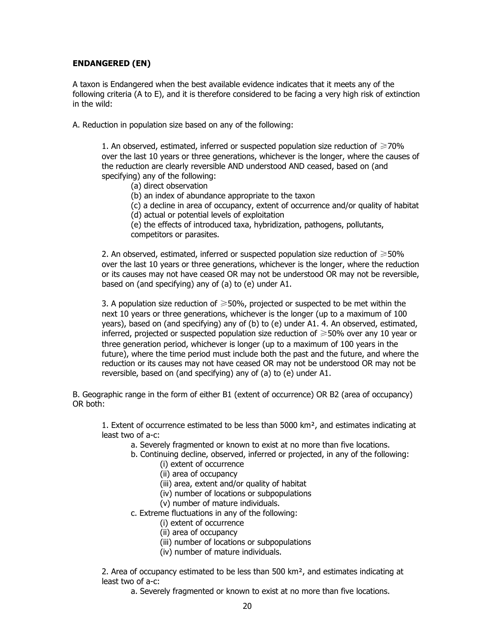## **ENDANGERED (EN)**

A taxon is Endangered when the best available evidence indicates that it meets any of the following criteria (A to E), and it is therefore considered to be facing a very high risk of extinction in the wild:

A. Reduction in population size based on any of the following:

1. An observed, estimated, inferred or suspected population size reduction of  $\geq$ 70% over the last 10 years or three generations, whichever is the longer, where the causes of the reduction are clearly reversible AND understood AND ceased, based on (and specifying) any of the following:

(a) direct observation

(b) an index of abundance appropriate to the taxon

(c) a decline in area of occupancy, extent of occurrence and/or quality of habitat

(d) actual or potential levels of exploitation

 (e) the effects of introduced taxa, hybridization, pathogens, pollutants, competitors or parasites.

2. An observed, estimated, inferred or suspected population size reduction of  $\geqslant$ 50% over the last 10 years or three generations, whichever is the longer, where the reduction or its causes may not have ceased OR may not be understood OR may not be reversible, based on (and specifying) any of (a) to (e) under A1.

3. A population size reduction of  $\geq 50\%$ , projected or suspected to be met within the next 10 years or three generations, whichever is the longer (up to a maximum of 100 years), based on (and specifying) any of (b) to (e) under A1. 4. An observed, estimated, inferred, projected or suspected population size reduction of ≥50% over any 10 year or three generation period, whichever is longer (up to a maximum of 100 years in the future), where the time period must include both the past and the future, and where the reduction or its causes may not have ceased OR may not be understood OR may not be reversible, based on (and specifying) any of (a) to (e) under A1.

B. Geographic range in the form of either B1 (extent of occurrence) OR B2 (area of occupancy) OR both:

 1. Extent of occurrence estimated to be less than 5000 km², and estimates indicating at least two of a-c:

a. Severely fragmented or known to exist at no more than five locations.

b. Continuing decline, observed, inferred or projected, in any of the following:

- (i) extent of occurrence
- (ii) area of occupancy

(iii) area, extent and/or quality of habitat

(iv) number of locations or subpopulations

(v) number of mature individuals.

c. Extreme fluctuations in any of the following:

(i) extent of occurrence

(ii) area of occupancy

- (iii) number of locations or subpopulations
- (iv) number of mature individuals.

2. Area of occupancy estimated to be less than 500  $km<sup>2</sup>$ , and estimates indicating at least two of a-c:

a. Severely fragmented or known to exist at no more than five locations.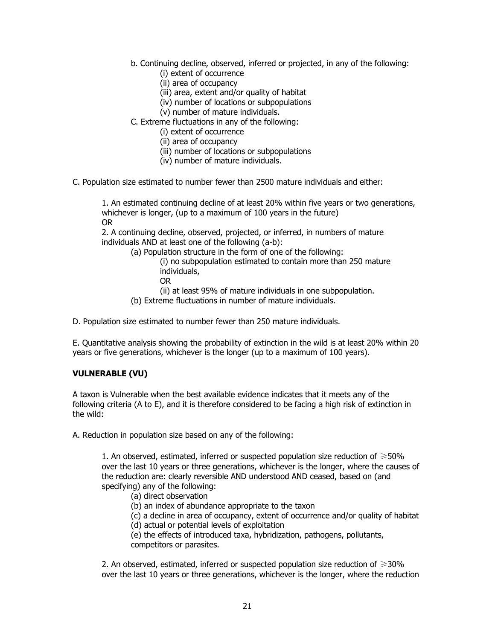- b. Continuing decline, observed, inferred or projected, in any of the following:
	- (i) extent of occurrence
	- (ii) area of occupancy
	- (iii) area, extent and/or quality of habitat
	- (iv) number of locations or subpopulations
	- (v) number of mature individuals.
- C. Extreme fluctuations in any of the following:
	- (i) extent of occurrence
	- (ii) area of occupancy
	- (iii) number of locations or subpopulations
	- (iv) number of mature individuals.
- C. Population size estimated to number fewer than 2500 mature individuals and either:

 1. An estimated continuing decline of at least 20% within five years or two generations, whichever is longer, (up to a maximum of 100 years in the future) OR

 2. A continuing decline, observed, projected, or inferred, in numbers of mature individuals AND at least one of the following (a-b):

(a) Population structure in the form of one of the following:

 (i) no subpopulation estimated to contain more than 250 mature individuals,

OR

(ii) at least 95% of mature individuals in one subpopulation.

(b) Extreme fluctuations in number of mature individuals.

D. Population size estimated to number fewer than 250 mature individuals.

E. Quantitative analysis showing the probability of extinction in the wild is at least 20% within 20 years or five generations, whichever is the longer (up to a maximum of 100 years).

## **VULNERABLE (VU)**

A taxon is Vulnerable when the best available evidence indicates that it meets any of the following criteria (A to E), and it is therefore considered to be facing a high risk of extinction in the wild:

A. Reduction in population size based on any of the following:

1. An observed, estimated, inferred or suspected population size reduction of  $\geq 50\%$  over the last 10 years or three generations, whichever is the longer, where the causes of the reduction are: clearly reversible AND understood AND ceased, based on (and specifying) any of the following:

- (a) direct observation
- (b) an index of abundance appropriate to the taxon
- (c) a decline in area of occupancy, extent of occurrence and/or quality of habitat
- (d) actual or potential levels of exploitation
- (e) the effects of introduced taxa, hybridization, pathogens, pollutants, competitors or parasites.

2. An observed, estimated, inferred or suspected population size reduction of  $\geqslant$  30% over the last 10 years or three generations, whichever is the longer, where the reduction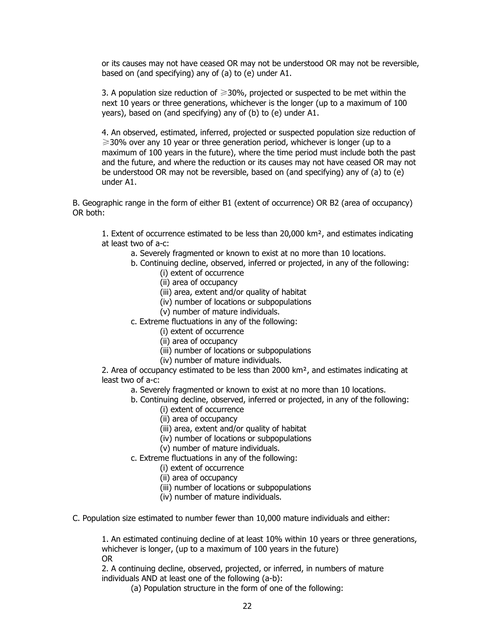or its causes may not have ceased OR may not be understood OR may not be reversible, based on (and specifying) any of (a) to (e) under A1.

3. A population size reduction of  $\geq$ 30%, projected or suspected to be met within the next 10 years or three generations, whichever is the longer (up to a maximum of 100 years), based on (and specifying) any of (b) to (e) under A1.

 4. An observed, estimated, inferred, projected or suspected population size reduction of  $\geq$ 30% over any 10 year or three generation period, whichever is longer (up to a maximum of 100 years in the future), where the time period must include both the past and the future, and where the reduction or its causes may not have ceased OR may not be understood OR may not be reversible, based on (and specifying) any of (a) to (e) under A1.

B. Geographic range in the form of either B1 (extent of occurrence) OR B2 (area of occupancy) OR both:

 1. Extent of occurrence estimated to be less than 20,000 km², and estimates indicating at least two of a-c:

- a. Severely fragmented or known to exist at no more than 10 locations.
- b. Continuing decline, observed, inferred or projected, in any of the following:
	- (i) extent of occurrence
	- (ii) area of occupancy
	- (iii) area, extent and/or quality of habitat
	- (iv) number of locations or subpopulations
	- (v) number of mature individuals.
- c. Extreme fluctuations in any of the following:
	- (i) extent of occurrence
	- (ii) area of occupancy
	- (iii) number of locations or subpopulations
	- (iv) number of mature individuals.

 2. Area of occupancy estimated to be less than 2000 km², and estimates indicating at least two of a-c:

a. Severely fragmented or known to exist at no more than 10 locations.

b. Continuing decline, observed, inferred or projected, in any of the following:

- (i) extent of occurrence
- (ii) area of occupancy
- (iii) area, extent and/or quality of habitat
- (iv) number of locations or subpopulations
- (v) number of mature individuals.
- c. Extreme fluctuations in any of the following:
	- (i) extent of occurrence
	- (ii) area of occupancy
	- (iii) number of locations or subpopulations
	- (iv) number of mature individuals.

C. Population size estimated to number fewer than 10,000 mature individuals and either:

 1. An estimated continuing decline of at least 10% within 10 years or three generations, whichever is longer, (up to a maximum of 100 years in the future) OR

 2. A continuing decline, observed, projected, or inferred, in numbers of mature individuals AND at least one of the following (a-b):

(a) Population structure in the form of one of the following: